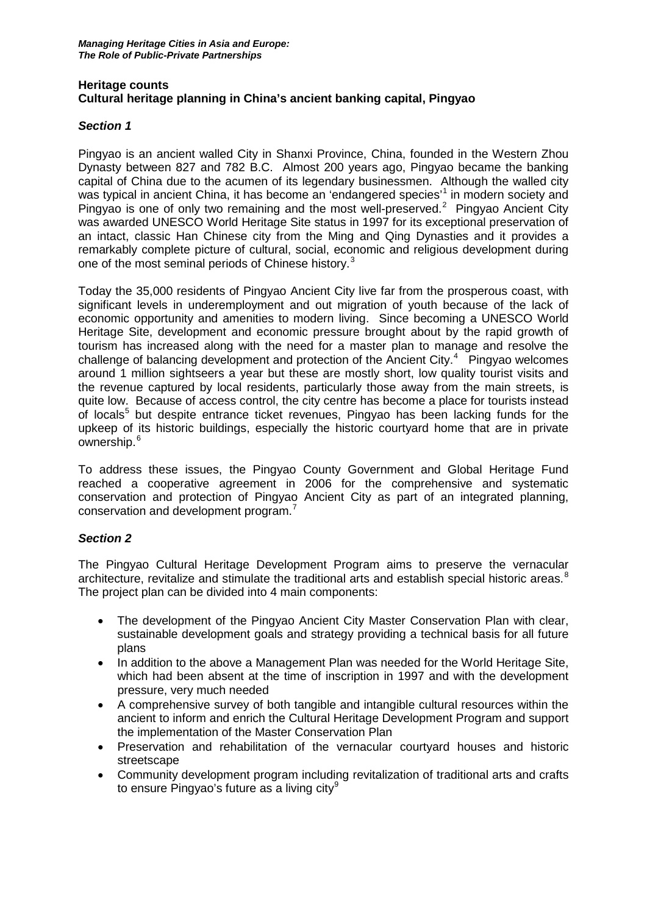# **Heritage counts Cultural heritage planning in China's ancient banking capital, Pingyao**

# *Section 1*

Pingyao is an ancient walled City in Shanxi Province, China, founded in the Western Zhou Dynasty between 827 and 782 B.C. Almost 200 years ago, Pingyao became the banking capital of China due to the acumen of its legendary businessmen. Although the walled city was typical in ancient China, it has become an 'endangered species'<sup>[1](#page-3-0)</sup> in modern society and Pingyao is one of only two remaining and the most well-preserved.<sup>[2](#page-3-1)</sup> Pingyao Ancient City was awarded UNESCO World Heritage Site status in 1997 for its exceptional preservation of an intact, classic Han Chinese city from the Ming and Qing Dynasties and it provides a remarkably complete picture of cultural, social, economic and religious development during one of the most seminal periods of Chinese history.<sup>[3](#page-3-2)</sup>

Today the 35,000 residents of Pingyao Ancient City live far from the prosperous coast, with significant levels in underemployment and out migration of youth because of the lack of economic opportunity and amenities to modern living. Since becoming a UNESCO World Heritage Site, development and economic pressure brought about by the rapid growth of tourism has increased along with the need for a master plan to manage and resolve the challenge of balancing development and protection of the Ancient City. $4$  Pingyao welcomes around 1 million sightseers a year but these are mostly short, low quality tourist visits and the revenue captured by local residents, particularly those away from the main streets, is quite low. Because of access control, the city centre has become a place for tourists instead of locals<sup>[5](#page-3-4)</sup> but despite entrance ticket revenues, Pingyao has been lacking funds for the upkeep of its historic buildings, especially the historic courtyard home that are in private ownership. [6](#page-3-5)

To address these issues, the Pingyao County Government and Global Heritage Fund reached a cooperative agreement in 2006 for the comprehensive and systematic conservation and protection of Pingyao Ancient City as part of an integrated planning, conservation and development program.<sup>[7](#page-3-6)</sup>

### *Section 2*

The Pingyao Cultural Heritage Development Program aims to preserve the vernacular architecture, revitalize and stimulate the traditional arts and establish special historic areas. $8$ The project plan can be divided into 4 main components:

- The development of the Pingyao Ancient City Master Conservation Plan with clear, sustainable development goals and strategy providing a technical basis for all future plans
- In addition to the above a Management Plan was needed for the World Heritage Site, which had been absent at the time of inscription in 1997 and with the development pressure, very much needed
- A comprehensive survey of both tangible and intangible cultural resources within the ancient to inform and enrich the Cultural Heritage Development Program and support the implementation of the Master Conservation Plan
- Preservation and rehabilitation of the vernacular courtyard houses and historic streetscape
- Community development program including revitalization of traditional arts and crafts to ensure Pingyao's future as a living  $\text{city}^9$  $\text{city}^9$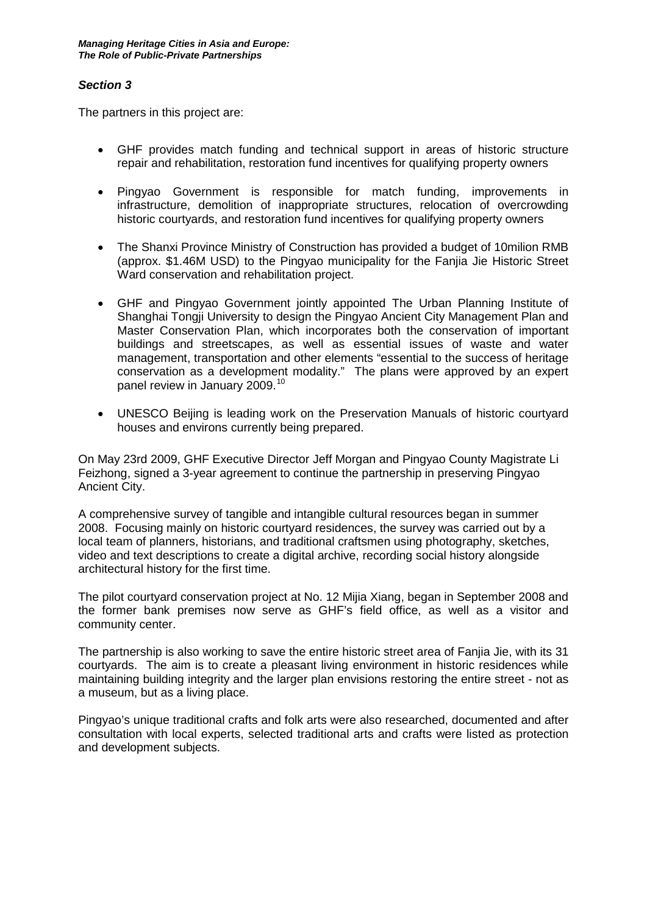### *Section 3*

The partners in this project are:

- GHF provides match funding and technical support in areas of historic structure repair and rehabilitation, restoration fund incentives for qualifying property owners
- Pingyao Government is responsible for match funding, improvements in infrastructure, demolition of inappropriate structures, relocation of overcrowding historic courtyards, and restoration fund incentives for qualifying property owners
- The Shanxi Province Ministry of Construction has provided a budget of 10milion RMB (approx. \$1.46M USD) to the Pingyao municipality for the Fanjia Jie Historic Street Ward conservation and rehabilitation project.
- GHF and Pingyao Government jointly appointed The Urban Planning Institute of Shanghai Tongji University to design the Pingyao Ancient City Management Plan and Master Conservation Plan, which incorporates both the conservation of important buildings and streetscapes, as well as essential issues of waste and water management, transportation and other elements "essential to the success of heritage conservation as a development modality." The plans were approved by an expert panel review in January 2009.<sup>[10](#page-4-0)</sup>
- UNESCO Beijing is leading work on the Preservation Manuals of historic courtyard houses and environs currently being prepared.

On May 23rd 2009, GHF Executive Director Jeff Morgan and Pingyao County Magistrate Li Feizhong, signed a 3-year agreement to continue the partnership in preserving Pingyao Ancient City.

A comprehensive survey of tangible and intangible cultural resources began in summer 2008. Focusing mainly on historic courtyard residences, the survey was carried out by a local team of planners, historians, and traditional craftsmen using photography, sketches, video and text descriptions to create a digital archive, recording social history alongside architectural history for the first time.

The pilot courtyard conservation project at No. 12 Mijia Xiang, began in September 2008 and the former bank premises now serve as GHF's field office, as well as a visitor and community center.

The partnership is also working to save the entire historic street area of Fanjia Jie, with its 31 courtyards. The aim is to create a pleasant living environment in historic residences while maintaining building integrity and the larger plan envisions restoring the entire street - not as a museum, but as a living place.

Pingyao's unique traditional crafts and folk arts were also researched, documented and after consultation with local experts, selected traditional arts and crafts were listed as protection and development subjects.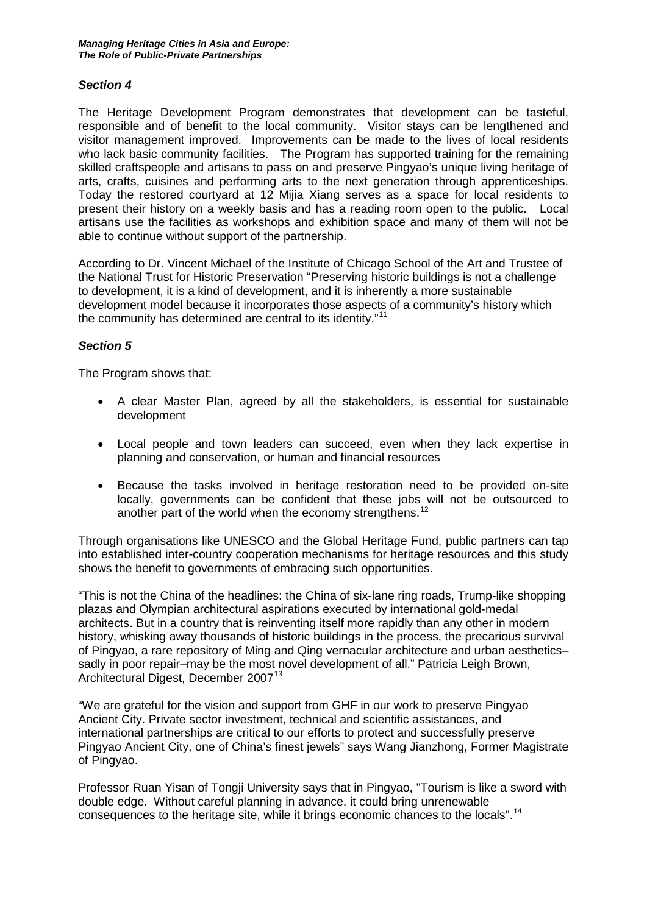## *Section 4*

The Heritage Development Program demonstrates that development can be tasteful, responsible and of benefit to the local community. Visitor stays can be lengthened and visitor management improved. Improvements can be made to the lives of local residents who lack basic community facilities. The Program has supported training for the remaining skilled craftspeople and artisans to pass on and preserve Pingyao's unique living heritage of arts, crafts, cuisines and performing arts to the next generation through apprenticeships. Today the restored courtyard at 12 Mijia Xiang serves as a space for local residents to present their history on a weekly basis and has a reading room open to the public. Local artisans use the facilities as workshops and exhibition space and many of them will not be able to continue without support of the partnership.

According to Dr. Vincent Michael of the Institute of Chicago School of the Art and Trustee of the National Trust for Historic Preservation "Preserving historic buildings is not a challenge to development, it is a kind of development, and it is inherently a more sustainable development model because it incorporates those aspects of a community's history which the community has determined are central to its identity."[11](#page-4-1)

### *Section 5*

The Program shows that:

- A clear Master Plan, agreed by all the stakeholders, is essential for sustainable development
- Local people and town leaders can succeed, even when they lack expertise in planning and conservation, or human and financial resources
- Because the tasks involved in heritage restoration need to be provided on-site locally, governments can be confident that these jobs will not be outsourced to another part of the world when the economy strengthens.<sup>[12](#page-4-2)</sup>

Through organisations like UNESCO and the Global Heritage Fund, public partners can tap into established inter-country cooperation mechanisms for heritage resources and this study shows the benefit to governments of embracing such opportunities.

"This is not the China of the headlines: the China of six-lane ring roads, Trump-like shopping plazas and Olympian architectural aspirations executed by international gold-medal architects. But in a country that is reinventing itself more rapidly than any other in modern history, whisking away thousands of historic buildings in the process, the precarious survival of Pingyao, a rare repository of Ming and Qing vernacular architecture and urban aesthetics– sadly in poor repair–may be the most novel development of all." Patricia Leigh Brown, Architectural Digest, December 2007<sup>[13](#page-4-3)</sup>

"We are grateful for the vision and support from GHF in our work to preserve Pingyao Ancient City. Private sector investment, technical and scientific assistances, and international partnerships are critical to our efforts to protect and successfully preserve Pingyao Ancient City, one of China's finest jewels" says Wang Jianzhong, Former Magistrate of Pingyao.

Professor Ruan Yisan of Tongji University says that in Pingyao, "Tourism is like a sword with double edge. Without careful planning in advance, it could bring unrenewable consequences to the heritage site, while it brings economic chances to the locals".<sup>[14](#page-4-4)</sup>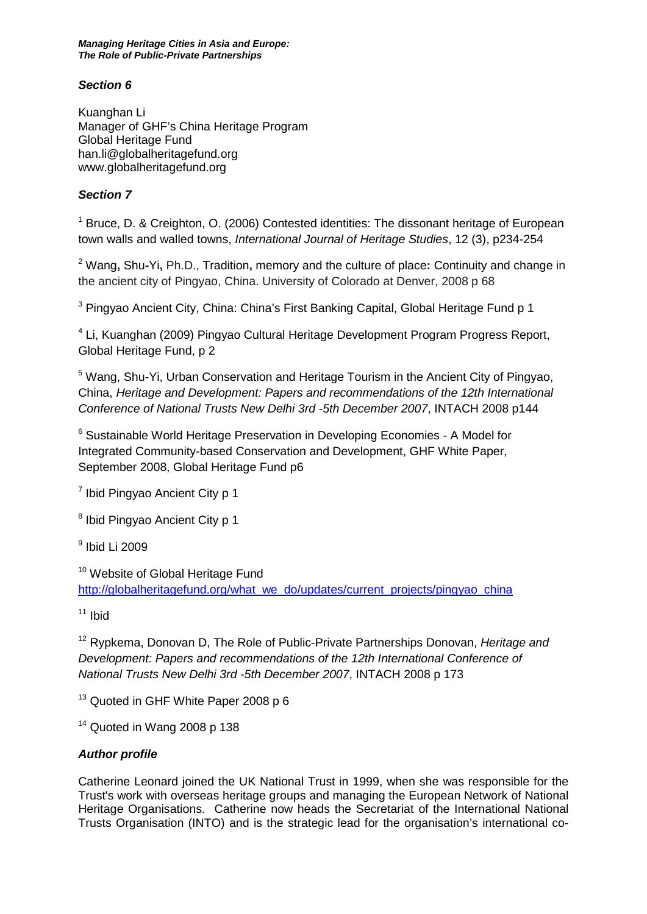*Managing Heritage Cities in Asia and Europe: The Role of Public-Private Partnerships*

# *Section 6*

Kuanghan Li Manager of GHF's China Heritage Program Global Heritage Fund han.li@globalheritagefund.org www.globalheritagefund.org

# *Section 7*

<span id="page-3-0"></span> $1$  Bruce, D. & Creighton, O. (2006) Contested identities: The dissonant heritage of European town walls and walled towns, *International Journal of Heritage Studies*, 12 (3), p234-254

<span id="page-3-1"></span><sup>2</sup> Wang**,** Shu**-**Yi**,** Ph.D., Tradition**,** memory and the culture of place**:** Continuity and change in the ancient city of Pingyao, China. University of Colorado at Denver, 2008 p 68

<span id="page-3-2"></span><sup>3</sup> Pingyao Ancient City, China: China's First Banking Capital, Global Heritage Fund p 1

<span id="page-3-3"></span><sup>4</sup> Li, Kuanghan (2009) Pingyao Cultural Heritage Development Program Progress Report, Global Heritage Fund, p 2

<span id="page-3-4"></span><sup>5</sup> Wang, Shu-Yi, Urban Conservation and Heritage Tourism in the Ancient City of Pingyao, China, *Heritage and Development: Papers and recommendations of the 12th International Conference of National Trusts New Delhi 3rd -5th December 2007*, INTACH 2008 p144

<span id="page-3-5"></span><sup>6</sup> Sustainable World Heritage Preservation in Developing Economies - A Model for Integrated Community-based Conservation and Development, GHF White Paper, September 2008, Global Heritage Fund p6

<span id="page-3-6"></span><sup>7</sup> Ibid Pingyao Ancient City p 1

<span id="page-3-7"></span><sup>8</sup> Ibid Pingyao Ancient City p 1

<span id="page-3-8"></span><sup>9</sup> Ibid Li 2009

<sup>10</sup> Website of Global Heritage Fund [http://globalheritagefund.org/what\\_we\\_do/updates/current\\_projects/pingyao\\_china](http://globalheritagefund.org/what_we_do/updates/current_projects/pingyao_china)

 $11$  Ibid

<sup>12</sup> Rypkema, Donovan D, The Role of Public-Private Partnerships Donovan, *Heritage and Development: Papers and recommendations of the 12th International Conference of National Trusts New Delhi 3rd -5th December 2007*, INTACH 2008 p 173

<sup>13</sup> Quoted in GHF White Paper 2008 p 6

 $14$  Quoted in Wang 2008 p 138

### *Author profile*

Catherine Leonard joined the UK National Trust in 1999, when she was responsible for the Trust's work with overseas heritage groups and managing the European Network of National Heritage Organisations. Catherine now heads the Secretariat of the International National Trusts Organisation (INTO) and is the strategic lead for the organisation's international co-